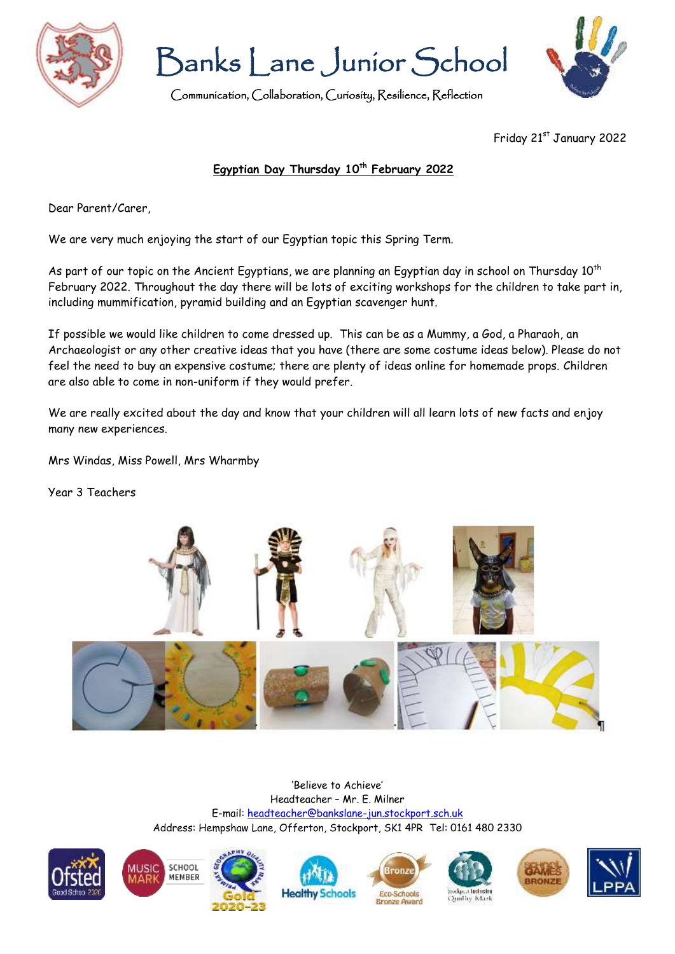

Banks Lane Junior School

Communication, Collaboration, Curiosity, Resilience, Reflection



Friday 21st January 2022

## **Egyptian Day Thursday 10th February 2022**

Dear Parent/Carer,

We are very much enjoying the start of our Egyptian topic this Spring Term.

As part of our topic on the Ancient Egyptians, we are planning an Egyptian day in school on Thursday 10<sup>th</sup> February 2022. Throughout the day there will be lots of exciting workshops for the children to take part in, including mummification, pyramid building and an Egyptian scavenger hunt.

If possible we would like children to come dressed up. This can be as a Mummy, a God, a Pharaoh, an Archaeologist or any other creative ideas that you have (there are some costume ideas below). Please do not feel the need to buy an expensive costume; there are plenty of ideas online for homemade props. Children are also able to come in non-uniform if they would prefer.

We are really excited about the day and know that your children will all learn lots of new facts and enjoy many new experiences.

Mrs Windas, Miss Powell, Mrs Wharmby

Year 3 Teachers



'Believe to Achieve' Headteacher – Mr. E. Milner E-mail: [headteacher@bankslane-jun.stockport.sch.uk](mailto:headteacher@bankslane-jun.stockport.sch.uk) Address: Hempshaw Lane, Offerton, Stockport, SK1 4PR Tel: 0161 480 2330